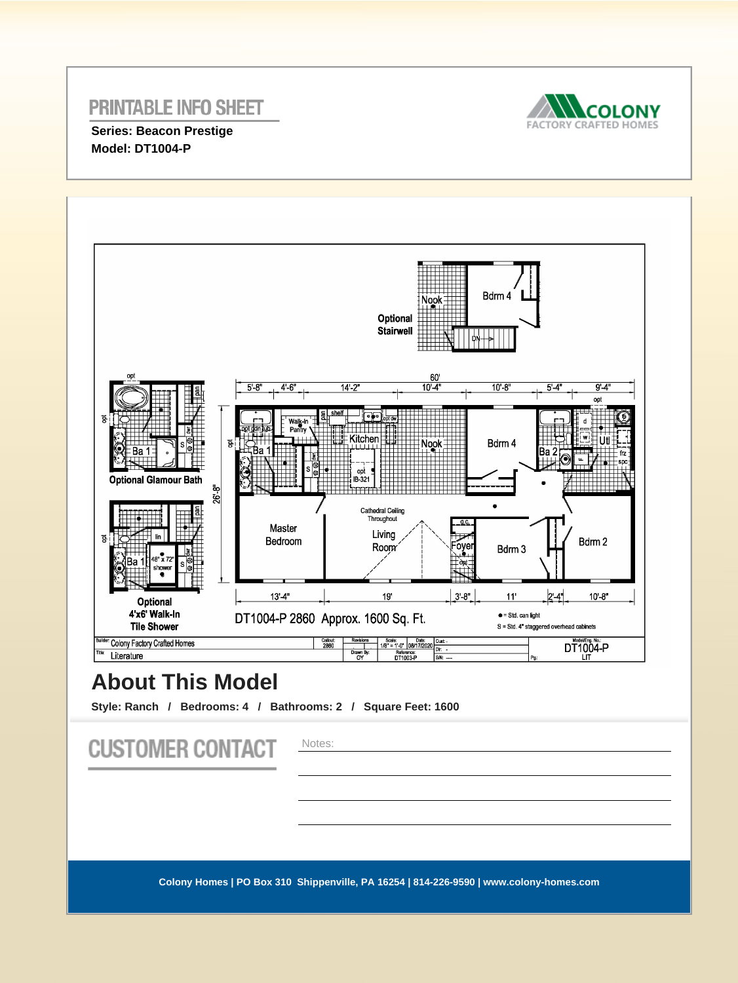## **PRINTABLE INFO SHEET**



**Series: Beacon Prestige Model: DT1004-P** 



# **About This Model**

**Style: Ranch / Bedrooms: 4 / Bathrooms: 2 / Square Feet: 1600**

| <b>CUSTOMER CONTACT</b>                                                                | Notes: |
|----------------------------------------------------------------------------------------|--------|
|                                                                                        |        |
| Colony Homes   PO Box 310 Shippenville, PA 16254   814-226-9590   www.colony-homes.com |        |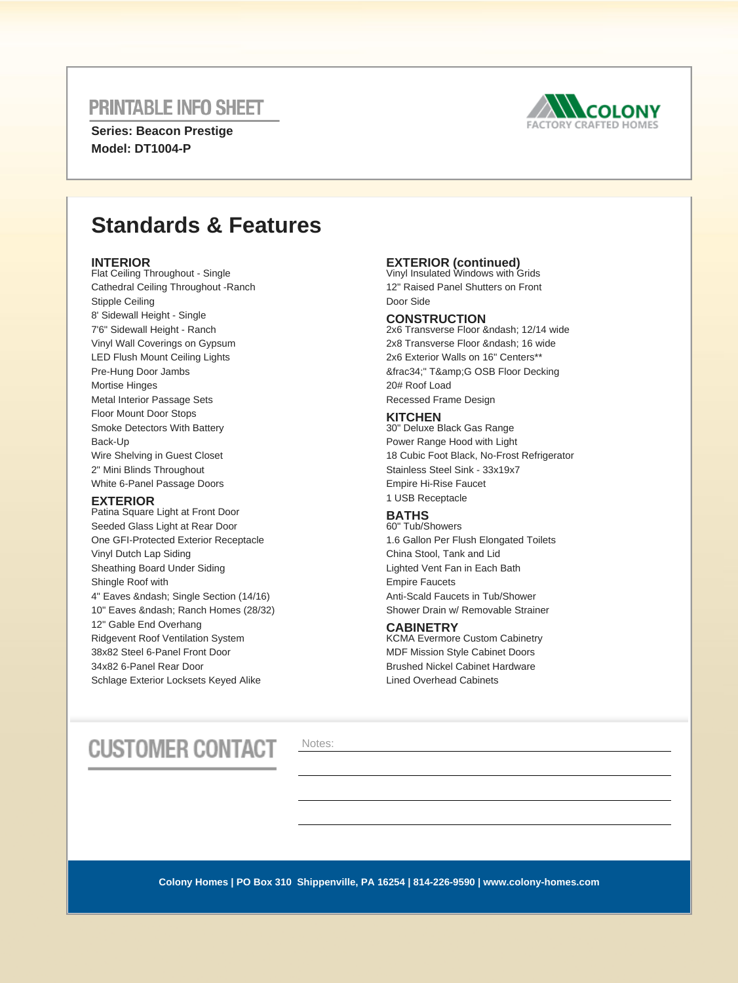### **PRINTABLE INFO SHEET**

**Series: Beacon Prestige Model: DT1004-P** 



# **Standards & Features**

#### **INTERIOR**

Flat Ceiling Throughout - Single Cathedral Ceiling Throughout -Ranch Stipple Ceiling 8' Sidewall Height - Single 7'6" Sidewall Height - Ranch Vinyl Wall Coverings on Gypsum LED Flush Mount Ceiling Lights Pre-Hung Door Jambs Mortise Hinges Metal Interior Passage Sets Floor Mount Door Stops Smoke Detectors With Battery Back-Up Wire Shelving in Guest Closet 2" Mini Blinds Throughout White 6-Panel Passage Doors

#### **EXTERIOR**

Patina Square Light at Front Door Seeded Glass Light at Rear Door One GFI-Protected Exterior Receptacle Vinyl Dutch Lap Siding Sheathing Board Under Siding Shingle Roof with 4" Eaves & ndash; Single Section (14/16) 10" Eaves & ndash: Ranch Homes (28/32) 12" Gable End Overhang Ridgevent Roof Ventilation System 38x82 Steel 6-Panel Front Door 34x82 6-Panel Rear Door Schlage Exterior Locksets Keyed Alike

## **EXTERIOR (continued)** Vinyl Insulated Windows with Grids

12" Raised Panel Shutters on Front Door Side

#### **CONSTRUCTION**

2x6 Transverse Floor – 12/14 wide 2x8 Transverse Floor – 16 wide 2x6 Exterior Walls on 16" Centers\*\* ¾" T&G OSB Floor Decking 20# Roof Load Recessed Frame Design

#### **KITCHEN**

30" Deluxe Black Gas Range Power Range Hood with Light 18 Cubic Foot Black, No-Frost Refrigerator Stainless Steel Sink - 33x19x7 Empire Hi-Rise Faucet 1 USB Receptacle

### **BATHS**

60" Tub/Showers 1.6 Gallon Per Flush Elongated Toilets China Stool, Tank and Lid Lighted Vent Fan in Each Bath Empire Faucets Anti-Scald Faucets in Tub/Shower Shower Drain w/ Removable Strainer

#### **CABINETRY**

KCMA Evermore Custom Cabinetry MDF Mission Style Cabinet Doors Brushed Nickel Cabinet Hardware Lined Overhead Cabinets

# **CUSTOMER CONTACT**

Notes:

**Colony Homes | PO Box 310 Shippenville, PA 16254 | 814-226-9590 | www.colony-homes.com**